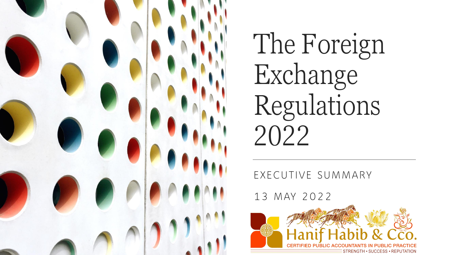

The Foreign Exchange Regulations 2022

EXECUTIVE SUMMARY

13 MAY 2022

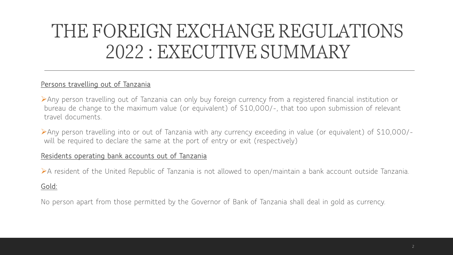#### **Persons travelling out of Tanzania**

➢Any person travelling out of Tanzania can only buy foreign currency from a registered financial institution or bureau de change to the maximum value (or equivalent) of \$10,000/-, that too upon submission of relevant travel documents.

➢Any person travelling into or out of Tanzania with any currency exceeding in value (or equivalent) of \$10,000/ will be required to declare the same at the port of entry or exit (respectively)

#### **Residents operating bank accounts out of Tanzania**

➢A resident of the United Republic of Tanzania is not allowed to open/maintain a bank account outside Tanzania.

#### **Gold:**

No person apart from those permitted by the Governor of Bank of Tanzania shall deal in gold as currency.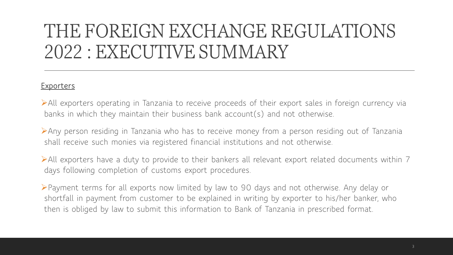### **Exporters**

➢All exporters operating in Tanzania to receive proceeds of their export sales in foreign currency via banks in which they maintain their business bank account(s) and not otherwise.

➢Any person residing in Tanzania who has to receive money from a person residing out of Tanzania shall receive such monies via registered financial institutions and not otherwise.

➢All exporters have a duty to provide to their bankers all relevant export related documents within 7 days following completion of customs export procedures.

➢Payment terms for all exports now limited by law to 90 days and not otherwise. Any delay or shortfall in payment from customer to be explained in writing by exporter to his/her banker, who then is obliged by law to submit this information to Bank of Tanzania in prescribed format.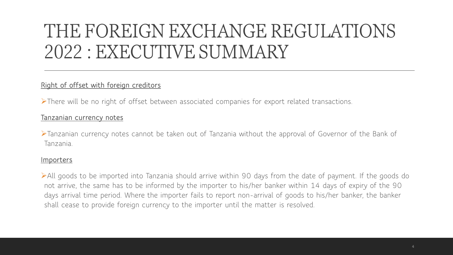### **Right of offset with foreign creditors**

➢There will be no right of offset between associated companies for export related transactions.

#### **Tanzanian currency notes**

➢Tanzanian currency notes cannot be taken out of Tanzania without the approval of Governor of the Bank of Tanzania.

#### **Importers**

➢All goods to be imported into Tanzania should arrive within 90 days from the date of payment. If the goods do not arrive, the same has to be informed by the importer to his/her banker within 14 days of expiry of the 90 days arrival time period. Where the importer fails to report non-arrival of goods to his/her banker, the banker shall cease to provide foreign currency to the importer until the matter is resolved.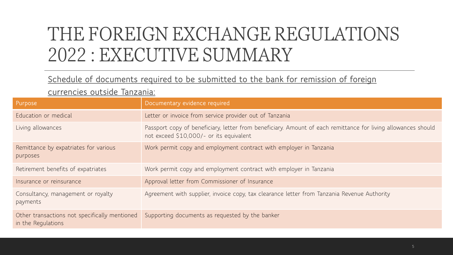### **Schedule of documents required to be submitted to the bank for remission of foreign**

#### **currencies outside Tanzania:**

| Purpose                                                             | Documentary evidence required                                                                                                                            |
|---------------------------------------------------------------------|----------------------------------------------------------------------------------------------------------------------------------------------------------|
| Education or medical                                                | Letter or invoice from service provider out of Tanzania                                                                                                  |
| Living allowances                                                   | Passport copy of beneficiary, letter from beneficiary. Amount of each remittance for living allowances should<br>not exceed \$10,000/- or its equivalent |
| Remittance by expatriates for various<br>purposes                   | Work permit copy and employment contract with employer in Tanzania                                                                                       |
| Retirement benefits of expatriates                                  | Work permit copy and employment contract with employer in Tanzania                                                                                       |
| Insurance or reinsurance                                            | Approval letter from Commissioner of Insurance                                                                                                           |
| Consultancy, management or royalty<br>payments                      | Agreement with supplier, invoice copy, tax clearance letter from Tanzania Revenue Authority                                                              |
| Other transactions not specifically mentioned<br>in the Regulations | Supporting documents as requested by the banker                                                                                                          |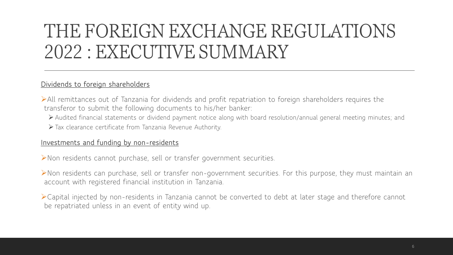#### **Dividends to foreign shareholders**

➢All remittances out of Tanzania for dividends and profit repatriation to foreign shareholders requires the transferor to submit the following documents to his/her banker:

➢ Audited financial statements or dividend payment notice along with board resolution/annual general meeting minutes; and

➢ Tax clearance certificate from Tanzania Revenue Authority.

#### **Investments and funding by non-residents**

➢Non residents cannot purchase, sell or transfer government securities.

➢Non residents can purchase, sell or transfer non-government securities. For this purpose, they must maintain an account with registered financial institution in Tanzania.

➢Capital injected by non-residents in Tanzania cannot be converted to debt at later stage and therefore cannot be repatriated unless in an event of entity wind up.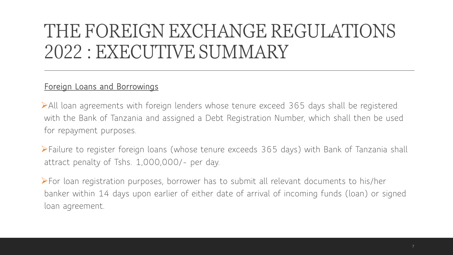## **Foreign Loans and Borrowings**

➢All loan agreements with foreign lenders whose tenure exceed 365 days shall be registered with the Bank of Tanzania and assigned a Debt Registration Number, which shall then be used for repayment purposes.

➢Failure to register foreign loans (whose tenure exceeds 365 days) with Bank of Tanzania shall attract penalty of Tshs. 1,000,000/- per day.

➢For loan registration purposes, borrower has to submit all relevant documents to his/her banker within 14 days upon earlier of either date of arrival of incoming funds (loan) or signed loan agreement.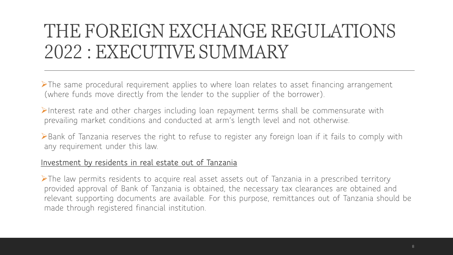➢The same procedural requirement applies to where loan relates to asset financing arrangement (where funds move directly from the lender to the supplier of the borrower).

➢Interest rate and other charges including loan repayment terms shall be commensurate with prevailing market conditions and conducted at arm's length level and not otherwise.

➢Bank of Tanzania reserves the right to refuse to register any foreign loan if it fails to comply with any requirement under this law.

### **Investment by residents in real estate out of Tanzania**

➢The law permits residents to acquire real asset assets out of Tanzania in a prescribed territory provided approval of Bank of Tanzania is obtained, the necessary tax clearances are obtained and relevant supporting documents are available. For this purpose, remittances out of Tanzania should be made through registered financial institution.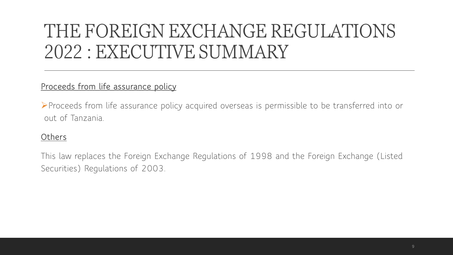## **Proceeds from life assurance policy**

➢Proceeds from life assurance policy acquired overseas is permissible to be transferred into or out of Tanzania.

## **Others**

This law replaces the Foreign Exchange Regulations of 1998 and the Foreign Exchange (Listed Securities) Regulations of 2003.